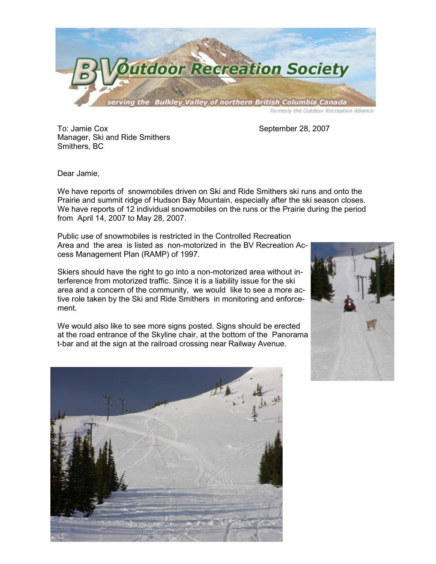

To: Jamie Cox September 28, 2007 Manager, Ski and Ride Smithers Smithers, BC

Dear Jamie,

We have reports of snowmobiles driven on Ski and Ride Smithers ski runs and onto the Prairie and summit ridge of Hudson Bay Mountain, especially after the ski season closes. We have reports of 12 individual snowmobiles on the runs or the Prairie during the period from April 14, 2007 to May 28, 2007.

Public use of snowmobiles is restricted in the Controlled Recreation Area and the area is listed as non-motorized in the BV Recreation Access Management Plan (RAMP) of 1997.

Skiers should have the right to go into a non-motorized area without interference from motorized traffic. Since it is a liability issue for the ski area and a concern of the community, we would like to see a more active role taken by the Ski and Ride Smithers in monitoring and enforcement.

We would also like to see more signs posted. Signs should be erected at the road entrance of the Skyline chair, at the bottom of the Panorama t-bar and at the sign at the railroad crossing near Railway Avenue.